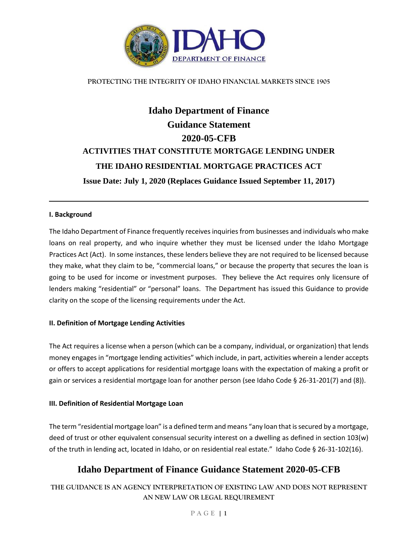

# **Idaho Department of Finance Guidance Statement 2020-05-CFB ACTIVITIES THAT CONSTITUTE MORTGAGE LENDING UNDER THE IDAHO RESIDENTIAL MORTGAGE PRACTICES ACT Issue Date: July 1, 2020 (Replaces Guidance Issued September 11, 2017)**

#### **I. Background**

The Idaho Department of Finance frequently receives inquiries from businesses and individuals who make loans on real property, and who inquire whether they must be licensed under the Idaho Mortgage Practices Act (Act). In some instances, these lenders believe they are not required to be licensed because they make, what they claim to be, "commercial loans," or because the property that secures the loan is going to be used for income or investment purposes. They believe the Act requires only licensure of lenders making "residential" or "personal" loans. The Department has issued this Guidance to provide clarity on the scope of the licensing requirements under the Act.

#### **II. Definition of Mortgage Lending Activities**

The Act requires a license when a person (which can be a company, individual, or organization) that lends money engages in "mortgage lending activities" which include, in part, activities wherein a lender accepts or offers to accept applications for residential mortgage loans with the expectation of making a profit or gain or services a residential mortgage loan for another person (see Idaho Code § 26-31-201(7) and (8)).

#### **III. Definition of Residential Mortgage Loan**

The term "residential mortgage loan" is a defined term and means "any loan that is secured by a mortgage, deed of trust or other equivalent consensual security interest on a dwelling as defined in section 103(w) of the truth in lending act, located in Idaho, or on residential real estate." Idaho Code § 26-31-102(16).

### **Idaho Department of Finance Guidance Statement 2020-05-CFB**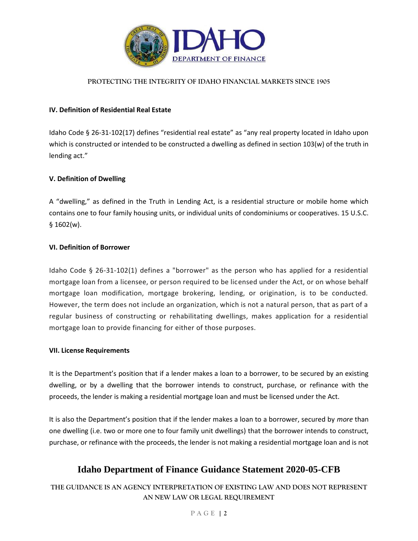

### **IV. Definition of Residential Real Estate**

Idaho Code § 26-31-102(17) defines "residential real estate" as "any real property located in Idaho upon which is constructed or intended to be constructed a dwelling as defined in section 103(w) of the truth in lending act."

### **V. Definition of Dwelling**

A "dwelling," as defined in the Truth in Lending Act, is a residential structure or mobile home which contains one to four family housing units, or individual units of condominiums or cooperatives. 15 U.S.C. § 1602(w).

### **VI. Definition of Borrower**

Idaho Code § 26-31-102(1) defines a "borrower" as the person who has applied for a residential mortgage loan from a licensee, or person required to be licensed under the Act, or on whose behalf mortgage loan modification, mortgage brokering, lending, or origination, is to be conducted. However, the term does not include an organization, which is not a natural person, that as part of a regular business of constructing or rehabilitating dwellings, makes application for a residential mortgage loan to provide financing for either of those purposes.

#### **VII. License Requirements**

It is the Department's position that if a lender makes a loan to a borrower, to be secured by an existing dwelling, or by a dwelling that the borrower intends to construct, purchase, or refinance with the proceeds, the lender is making a residential mortgage loan and must be licensed under the Act.

It is also the Department's position that if the lender makes a loan to a borrower, secured by *more* than one dwelling (i.e. two or more one to four family unit dwellings) that the borrower intends to construct, purchase, or refinance with the proceeds, the lender is not making a residential mortgage loan and is not

# **Idaho Department of Finance Guidance Statement 2020-05-CFB**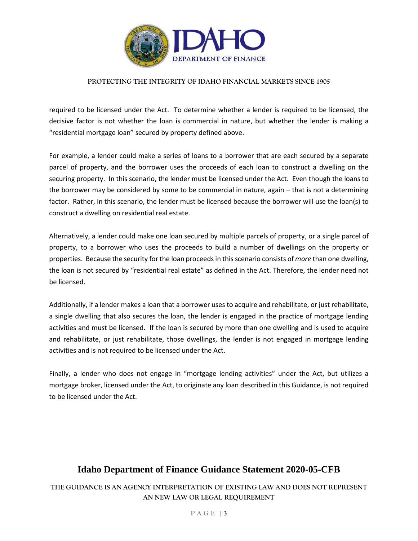

required to be licensed under the Act. To determine whether a lender is required to be licensed, the decisive factor is not whether the loan is commercial in nature, but whether the lender is making a "residential mortgage loan" secured by property defined above.

For example, a lender could make a series of loans to a borrower that are each secured by a separate parcel of property, and the borrower uses the proceeds of each loan to construct a dwelling on the securing property. In this scenario, the lender must be licensed under the Act. Even though the loans to the borrower may be considered by some to be commercial in nature, again – that is not a determining factor. Rather, in this scenario, the lender must be licensed because the borrower will use the loan(s) to construct a dwelling on residential real estate.

Alternatively, a lender could make one loan secured by multiple parcels of property, or a single parcel of property, to a borrower who uses the proceeds to build a number of dwellings on the property or properties. Because the security for the loan proceeds in this scenario consists of *more* than one dwelling, the loan is not secured by "residential real estate" as defined in the Act. Therefore, the lender need not be licensed.

Additionally, if a lender makes a loan that a borrower uses to acquire and rehabilitate, or just rehabilitate, a single dwelling that also secures the loan, the lender is engaged in the practice of mortgage lending activities and must be licensed. If the loan is secured by more than one dwelling and is used to acquire and rehabilitate, or just rehabilitate, those dwellings, the lender is not engaged in mortgage lending activities and is not required to be licensed under the Act.

Finally, a lender who does not engage in "mortgage lending activities" under the Act, but utilizes a mortgage broker, licensed under the Act, to originate any loan described in this Guidance, is not required to be licensed under the Act.

# **Idaho Department of Finance Guidance Statement 2020-05-CFB**